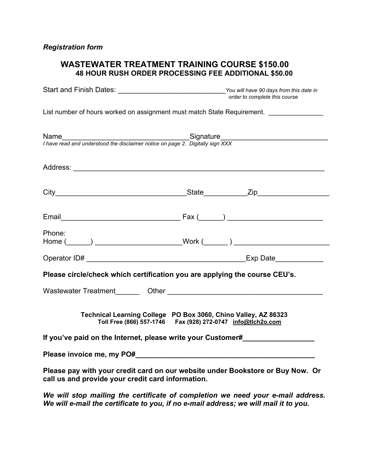# **WASTEWATER TREATMENT TRAINING COURSE \$150.00 48 HOUR RUSH ORDER PROCESSING FEE ADDITIONAL \$50.00**

| Start and Finish Dates: Start and Start and Start and Start and Start and Start and Start and Start and Start | You will have 90 days from this date in<br>order to complete this course                                                            |
|---------------------------------------------------------------------------------------------------------------|-------------------------------------------------------------------------------------------------------------------------------------|
|                                                                                                               | List number of hours worked on assignment must match State Requirement.                                                             |
|                                                                                                               | Name<br>I have read and understood the disclaimer notice on page 2. Digitally sign XXX                                              |
|                                                                                                               |                                                                                                                                     |
|                                                                                                               |                                                                                                                                     |
|                                                                                                               |                                                                                                                                     |
| Phone:                                                                                                        |                                                                                                                                     |
|                                                                                                               |                                                                                                                                     |
| Please circle/check which certification you are applying the course CEU's.                                    |                                                                                                                                     |
|                                                                                                               |                                                                                                                                     |
|                                                                                                               | Technical Learning College PO Box 3060, Chino Valley, AZ 86323<br>Toll Free (866) 557-1746    Fax (928) 272-0747    info@tlch2o.com |
|                                                                                                               | If you've paid on the Internet, please write your Customer#                                                                         |
|                                                                                                               |                                                                                                                                     |
| call us and provide your credit card information.                                                             | Please pay with your credit card on our website under Bookstore or Buy Now. Or                                                      |

*We will stop mailing the certificate of completion we need your e-mail address. We will e-mail the certificate to you, if no e-mail address; we will mail it to you.*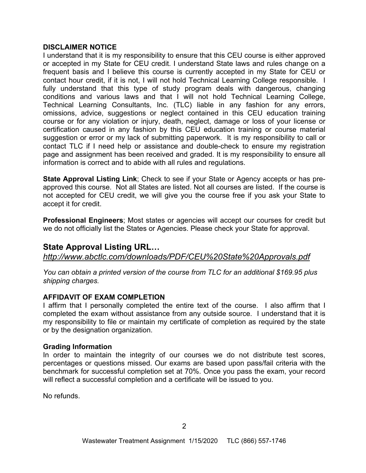# **DISCLAIMER NOTICE**

I understand that it is my responsibility to ensure that this CEU course is either approved or accepted in my State for CEU credit. I understand State laws and rules change on a frequent basis and I believe this course is currently accepted in my State for CEU or contact hour credit, if it is not, I will not hold Technical Learning College responsible. I fully understand that this type of study program deals with dangerous, changing conditions and various laws and that I will not hold Technical Learning College, Technical Learning Consultants, Inc. (TLC) liable in any fashion for any errors, omissions, advice, suggestions or neglect contained in this CEU education training course or for any violation or injury, death, neglect, damage or loss of your license or certification caused in any fashion by this CEU education training or course material suggestion or error or my lack of submitting paperwork. It is my responsibility to call or contact TLC if I need help or assistance and double-check to ensure my registration page and assignment has been received and graded. It is my responsibility to ensure all information is correct and to abide with all rules and regulations.

**State Approval Listing Link**; Check to see if your State or Agency accepts or has preapproved this course. Not all States are listed. Not all courses are listed. If the course is not accepted for CEU credit, we will give you the course free if you ask your State to accept it for credit.

**Professional Engineers**; Most states or agencies will accept our courses for credit but we do not officially list the States or Agencies. Please check your State for approval.

# **State Approval Listing URL…**

*<http://www.abctlc.com/downloads/PDF/CEU%20State%20Approvals.pdf>*

*You can obtain a printed version of the course from TLC for an additional \$169.95 plus shipping charges.* 

# **AFFIDAVIT OF EXAM COMPLETION**

I affirm that I personally completed the entire text of the course. I also affirm that I completed the exam without assistance from any outside source. I understand that it is my responsibility to file or maintain my certificate of completion as required by the state or by the designation organization.

# **Grading Information**

In order to maintain the integrity of our courses we do not distribute test scores, percentages or questions missed. Our exams are based upon pass/fail criteria with the benchmark for successful completion set at 70%. Once you pass the exam, your record will reflect a successful completion and a certificate will be issued to you.

No refunds.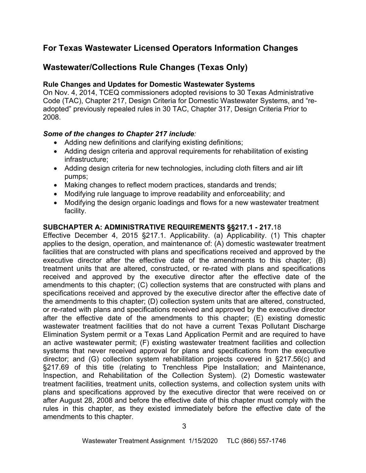# **For Texas Wastewater Licensed Operators Information Changes**

# **Wastewater/Collections Rule Changes (Texas Only)**

# **Rule Changes and Updates for Domestic Wastewater Systems**

On Nov. 4, 2014, TCEQ commissioners adopted revisions to 30 Texas Administrative Code (TAC), Chapter 217, Design Criteria for Domestic Wastewater Systems, and "readopted" previously repealed rules in 30 TAC, Chapter 317, Design Criteria Prior to 2008.

# *Some of the changes to Chapter 217 include:*

- Adding new definitions and clarifying existing definitions;
- Adding design criteria and approval requirements for rehabilitation of existing infrastructure;
- Adding design criteria for new technologies, including cloth filters and air lift pumps;
- Making changes to reflect modern practices, standards and trends;
- Modifying rule language to improve readability and enforceability; and
- Modifying the design organic loadings and flows for a new wastewater treatment facility.

# **SUBCHAPTER A: ADMINISTRATIVE REQUIREMENTS §§217.1 - 217.**18

Effective December 4, 2015 §217.1. Applicability. (a) Applicability. (1) This chapter applies to the design, operation, and maintenance of: (A) domestic wastewater treatment facilities that are constructed with plans and specifications received and approved by the executive director after the effective date of the amendments to this chapter; (B) treatment units that are altered, constructed, or re-rated with plans and specifications received and approved by the executive director after the effective date of the amendments to this chapter; (C) collection systems that are constructed with plans and specifications received and approved by the executive director after the effective date of the amendments to this chapter; (D) collection system units that are altered, constructed, or re-rated with plans and specifications received and approved by the executive director after the effective date of the amendments to this chapter; (E) existing domestic wastewater treatment facilities that do not have a current Texas Pollutant Discharge Elimination System permit or a Texas Land Application Permit and are required to have an active wastewater permit; (F) existing wastewater treatment facilities and collection systems that never received approval for plans and specifications from the executive director; and (G) collection system rehabilitation projects covered in §217.56(c) and §217.69 of this title (relating to Trenchless Pipe Installation; and Maintenance, Inspection, and Rehabilitation of the Collection System). (2) Domestic wastewater treatment facilities, treatment units, collection systems, and collection system units with plans and specifications approved by the executive director that were received on or after August 28, 2008 and before the effective date of this chapter must comply with the rules in this chapter, as they existed immediately before the effective date of the amendments to this chapter.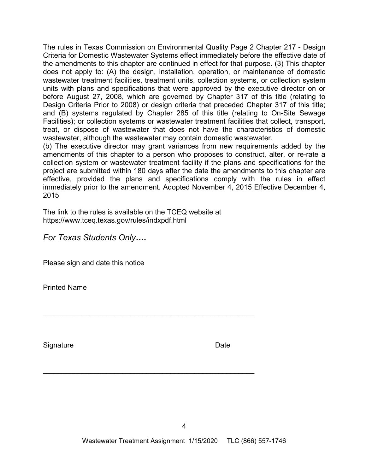The rules in Texas Commission on Environmental Quality Page 2 Chapter 217 - Design Criteria for Domestic Wastewater Systems effect immediately before the effective date of the amendments to this chapter are continued in effect for that purpose. (3) This chapter does not apply to: (A) the design, installation, operation, or maintenance of domestic wastewater treatment facilities, treatment units, collection systems, or collection system units with plans and specifications that were approved by the executive director on or before August 27, 2008, which are governed by Chapter 317 of this title (relating to Design Criteria Prior to 2008) or design criteria that preceded Chapter 317 of this title; and (B) systems regulated by Chapter 285 of this title (relating to On-Site Sewage Facilities); or collection systems or wastewater treatment facilities that collect, transport, treat, or dispose of wastewater that does not have the characteristics of domestic wastewater, although the wastewater may contain domestic wastewater.

(b) The executive director may grant variances from new requirements added by the amendments of this chapter to a person who proposes to construct, alter, or re-rate a collection system or wastewater treatment facility if the plans and specifications for the project are submitted within 180 days after the date the amendments to this chapter are effective, provided the plans and specifications comply with the rules in effect immediately prior to the amendment. Adopted November 4, 2015 Effective December 4, 2015

The link to the rules is available on the TCEQ website at <https://www.tceq.texas.gov/rules/indxpdf.html>

\_\_\_\_\_\_\_\_\_\_\_\_\_\_\_\_\_\_\_\_\_\_\_\_\_\_\_\_\_\_\_\_\_\_\_\_\_\_\_\_\_\_\_\_\_\_\_\_\_\_\_\_\_

\_\_\_\_\_\_\_\_\_\_\_\_\_\_\_\_\_\_\_\_\_\_\_\_\_\_\_\_\_\_\_\_\_\_\_\_\_\_\_\_\_\_\_\_\_\_\_\_\_\_\_\_\_

*For Texas Students Only….* 

Please sign and date this notice

Printed Name

Signature Date **Date**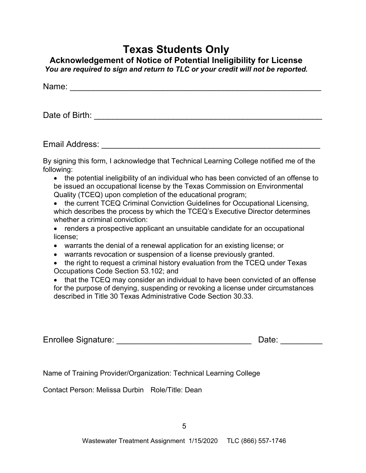# **Texas Students Only**

**Acknowledgement of Notice of Potential Ineligibility for License** 

*You are required to sign and return to TLC or your credit will not be reported.* 

| <b>Name</b><br>$\sim$ $\sim$ $\sim$<br>. .<br>.<br>. |
|------------------------------------------------------|
|------------------------------------------------------|

Date of Birth: \_\_\_\_\_\_\_\_\_\_\_\_\_\_\_\_\_\_\_\_\_\_\_\_\_\_\_\_\_\_\_\_\_\_\_\_\_\_\_\_\_\_\_\_\_\_\_\_\_

Email Address: \_\_\_\_\_\_\_\_\_\_\_\_\_\_\_\_\_\_\_\_\_\_\_\_\_\_\_\_\_\_\_\_\_\_\_\_\_\_\_\_\_\_\_\_\_\_\_

By signing this form, I acknowledge that Technical Learning College notified me of the following:

- the potential ineligibility of an individual who has been convicted of an offense to be issued an occupational license by the Texas Commission on Environmental Quality (TCEQ) upon completion of the educational program;
- the current TCEQ Criminal Conviction Guidelines for Occupational Licensing, which describes the process by which the TCEQ's Executive Director determines whether a criminal conviction:
- renders a prospective applicant an unsuitable candidate for an occupational license;
- warrants the denial of a renewal application for an existing license; or
- warrants revocation or suspension of a license previously granted.
- the right to request a criminal history evaluation from the TCEQ under Texas Occupations Code Section 53.102; and

• that the TCEQ may consider an individual to have been convicted of an offense for the purpose of denying, suspending or revoking a license under circumstances described in Title 30 Texas Administrative Code Section 30.33.

| <b>Enrollee Signature:</b> | Date: |
|----------------------------|-------|
|----------------------------|-------|

Name of Training Provider/Organization: Technical Learning College

Contact Person: Melissa Durbin Role/Title: Dean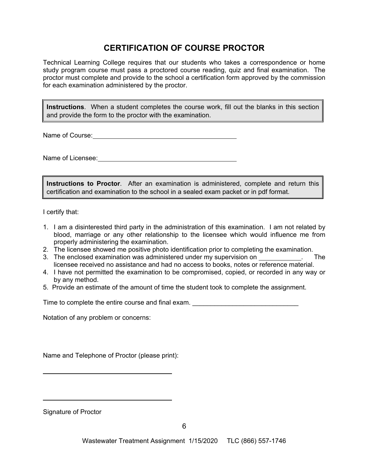# **CERTIFICATION OF COURSE PROCTOR**

Technical Learning College requires that our students who takes a correspondence or home study program course must pass a proctored course reading, quiz and final examination. The proctor must complete and provide to the school a certification form approved by the commission for each examination administered by the proctor.

**Instructions**. When a student completes the course work, fill out the blanks in this section and provide the form to the proctor with the examination.

Name of Course: **Name of Course:** 

Name of Licensee:

**Instructions to Proctor**. After an examination is administered, complete and return this certification and examination to the school in a sealed exam packet or in pdf format.

I certify that:

- 1. I am a disinterested third party in the administration of this examination. I am not related by blood, marriage or any other relationship to the licensee which would influence me from properly administering the examination.
- 2. The licensee showed me positive photo identification prior to completing the examination.
- 3. The enclosed examination was administered under my supervision on . The licensee received no assistance and had no access to books, notes or reference material.
- 4. I have not permitted the examination to be compromised, copied, or recorded in any way or by any method.
- 5. Provide an estimate of the amount of time the student took to complete the assignment.

Time to complete the entire course and final exam.

Notation of any problem or concerns:

Name and Telephone of Proctor (please print):

Signature of Proctor

 $\overline{a}$ 

 $\overline{a}$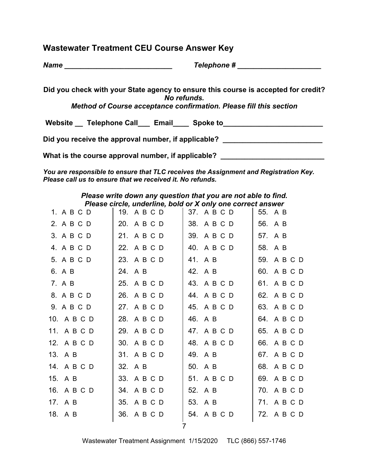# **Wastewater Treatment CEU Course Answer Key**

| <b>Name</b> |  |  |  |  |  |  |
|-------------|--|--|--|--|--|--|
|             |  |  |  |  |  |  |

 $\bm{\mathit{Telephone}}~\bm{\#}$ 

**Did you check with your State agency to ensure this course is accepted for credit?**  *No refunds.* 

*Method of Course acceptance confirmation. Please fill this section* 

Website \_\_ Telephone Call \_\_ Email \_\_\_ Spoke to \_\_\_\_\_\_\_\_\_\_\_\_\_\_\_\_\_\_\_\_\_\_\_\_\_\_\_\_\_\_\_\_

Did you receive the approval number, if applicable?

What is the course approval number, if applicable? \_\_\_\_\_\_\_\_\_\_\_\_\_\_\_\_\_\_\_\_\_\_\_\_\_\_\_\_\_

*You are responsible to ensure that TLC receives the Assignment and Registration Key. Please call us to ensure that we received it. No refunds.* 

> *Please write down any question that you are not able to find. Please circle, underline, bold or X only one correct answer*

| 1. A B C D  | 19. A B C D | 37. A B C D | 55. A B     |
|-------------|-------------|-------------|-------------|
| 2. A B C D  | 20. A B C D | 38. A B C D | 56. A B     |
| 3. A B C D  | 21. A B C D | 39. A B C D | 57. A B     |
| 4. A B C D  | 22. A B C D | 40. A B C D | 58. A B     |
| 5. A B C D  | 23. A B C D | 41. A B     | 59. A B C D |
| 6. A B      | 24. A B     | 42. A B     | 60. A B C D |
| 7. A B      | 25. A B C D | 43. A B C D | 61. A B C D |
| 8. A B C D  | 26. A B C D | 44. A B C D | 62. A B C D |
| 9. A B C D  | 27. A B C D | 45. A B C D | 63. A B C D |
| 10. A B C D | 28. A B C D | 46. A B     | 64. A B C D |
| 11. A B C D | 29. A B C D | 47. A B C D | 65. A B C D |
| 12. A B C D | 30. A B C D | 48. A B C D | 66. A B C D |
| 13. A B     | 31. A B C D | 49. A B     | 67. A B C D |
| 14. A B C D | 32. A B     | 50. A B     | 68. A B C D |
| 15. A B     | 33. A B C D | 51. A B C D | 69. A B C D |
| 16. A B C D | 34. A B C D | 52. A B     | 70. A B C D |
| 17. A B     | 35. A B C D | 53. A B     | 71. A B C D |
| 18. A B     | 36. A B C D | 54. A B C D | 72. A B C D |
|             |             |             |             |

Wastewater Treatment Assignment 1/15/2020 TLC (866) 557-1746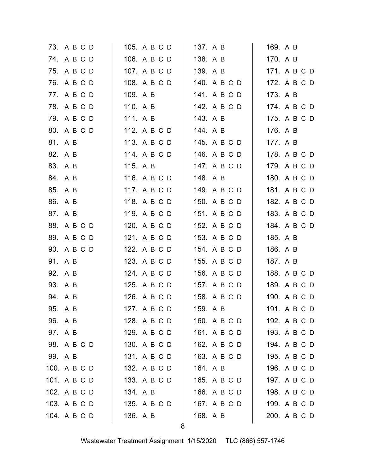| 73. A B C D  | 105. A B C D | 137. A B     | 169. A B     |
|--------------|--------------|--------------|--------------|
| 74. A B C D  | 106. A B C D | 138. A B     | 170. A B     |
| 75. A B C D  | 107. A B C D | 139. A B     | 171. A B C D |
| 76. A B C D  | 108. A B C D | 140. A B C D | 172. A B C D |
| 77. A B C D  | 109. A B     | 141. A B C D | 173. A B     |
| 78. A B C D  | 110. A B     | 142. A B C D | 174. A B C D |
| 79. A B C D  | 111. A B     | 143. A B     | 175. A B C D |
| 80. A B C D  | 112. A B C D | 144. A B     | 176. A B     |
| 81. A B      | 113. A B C D | 145. A B C D | 177. A B     |
| 82. A B      | 114. A B C D | 146. A B C D | 178. A B C D |
| 83. A B      | 115. A B     | 147. A B C D | 179. A B C D |
| 84. A B      | 116. A B C D | 148. A B     | 180. A B C D |
| 85. A B      | 117. A B C D | 149. A B C D | 181. A B C D |
| 86. A B      | 118. A B C D | 150. A B C D | 182. A B C D |
| 87. A B      | 119. A B C D | 151. A B C D | 183. A B C D |
| 88. A B C D  | 120. A B C D | 152. A B C D | 184. A B C D |
| 89. A B C D  | 121. A B C D | 153. A B C D | 185. A B     |
| 90. A B C D  | 122. A B C D | 154. A B C D | 186. A B     |
| 91. A B      | 123. A B C D | 155. A B C D | 187. A B     |
| 92. A B      | 124. A B C D | 156. A B C D | 188. A B C D |
| 93. A B      | 125. A B C D | 157. A B C D | 189. A B C D |
| 94. A B      | 126. A B C D | 158. A B C D | 190. A B C D |
| 95. A B      | 127. A B C D | 159. A B     | 191. A B C D |
| 96. A B      | 128. A B C D | 160. A B C D | 192. A B C D |
| 97. A B      | 129. A B C D | 161. A B C D | 193. A B C D |
| 98. A B C D  | 130. A B C D | 162. A B C D | 194. A B C D |
| 99. A B      | 131. A B C D | 163. A B C D | 195. A B C D |
| 100. A B C D | 132. A B C D | 164. A B     | 196. A B C D |
| 101. A B C D | 133. A B C D | 165. A B C D | 197. A B C D |
| 102. A B C D | 134. A B     | 166. A B C D | 198. A B C D |
| 103. A B C D | 135. A B C D | 167. A B C D | 199. A B C D |
| 104. A B C D | 136. A B     | 168. A B     | 200. A B C D |
|              |              |              |              |

8

Wastewater Treatment Assignment 1/15/2020 TLC (866) 557-1746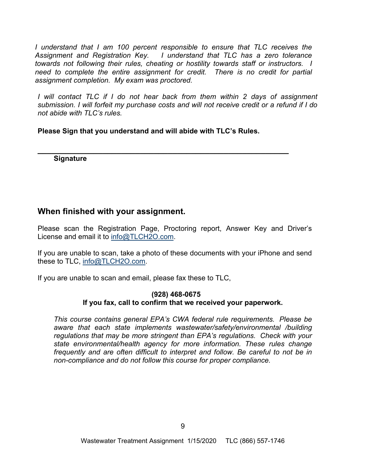*I* understand that I am 100 percent responsible to ensure that TLC receives the *Assignment and Registration Key. I understand that TLC has a zero tolerance towards not following their rules, cheating or hostility towards staff or instructors. I*  need to complete the entire assignment for credit. There is no credit for partial *assignment completion. My exam was proctored.* 

*I* will contact TLC if I do not hear back from them within 2 days of assignment *submission. I will forfeit my purchase costs and will not receive credit or a refund if I do not abide with TLC's rules.* 

**Please Sign that you understand and will abide with TLC's Rules.** 

**\_\_\_\_\_\_\_\_\_\_\_\_\_\_\_\_\_\_\_\_\_\_\_\_\_\_\_\_\_\_\_\_\_\_\_\_\_\_\_\_\_\_\_\_\_\_\_\_\_\_\_\_\_\_** 

**Signature** 

# **When finished with your assignment.**

Please scan the Registration Page, Proctoring report, Answer Key and Driver's License and email it to [info@TLCH2O.com.](mailto:info@TLCH2O.com) 

If you are unable to scan, take a photo of these documents with your iPhone and send these to TLC, [info@TLCH2O.com.](mailto:info@TLCH2O.com) 

If you are unable to scan and email, please fax these to TLC,

# **(928) 468-0675 If you fax, call to confirm that we received your paperwork.**

*This course contains general EPA's CWA federal rule requirements. Please be aware that each state implements wastewater/safety/environmental /building regulations that may be more stringent than EPA's regulations. Check with your state environmental/health agency for more information. These rules change*  frequently and are often difficult to interpret and follow. Be careful to not be in *non-compliance and do not follow this course for proper compliance.*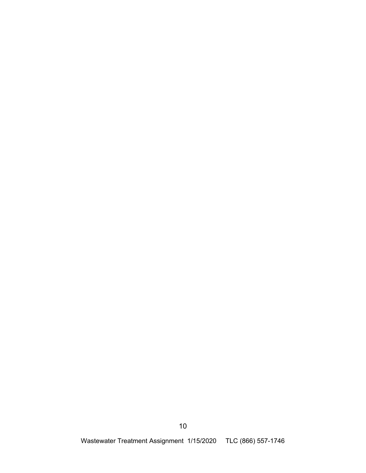Wastewater Treatment Assignment 1/15/2020 TLC (866) 557-1746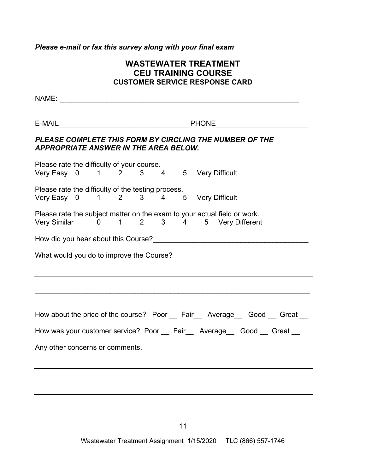*Please e-mail or fax this survey along with your final exam*

# **WASTEWATER TREATMENT CEU TRAINING COURSE CUSTOMER SERVICE RESPONSE CARD**

NAME: \_\_\_\_\_\_\_\_\_\_\_\_\_\_\_\_\_\_\_\_\_\_\_\_\_\_\_\_\_\_\_\_\_\_\_\_\_\_\_\_\_\_\_\_\_\_\_\_\_\_\_\_\_\_\_\_\_\_\_\_ E-MAIL E-MAIL *PLEASE COMPLETE THIS FORM BY CIRCLING THE NUMBER OF THE APPROPRIATE ANSWER IN THE AREA BELOW.*  Please rate the difficulty of your course. Very Easy 0 1 2 3 4 5 Very Difficult Please rate the difficulty of the testing process. Very Easy 0 1 2 3 4 5 Very Difficult Please rate the subject matter on the exam to your actual field or work. Very Similar 0 1 2 3 4 5 Very Different How did you hear about this Course?\_\_\_\_\_\_\_\_\_\_\_\_\_\_\_\_\_\_\_\_\_\_\_\_\_\_\_\_\_\_\_\_\_\_\_\_\_\_\_ What would you do to improve the Course?  $\mathcal{L}_\mathcal{L} = \mathcal{L}_\mathcal{L} = \mathcal{L}_\mathcal{L} = \mathcal{L}_\mathcal{L} = \mathcal{L}_\mathcal{L} = \mathcal{L}_\mathcal{L} = \mathcal{L}_\mathcal{L} = \mathcal{L}_\mathcal{L} = \mathcal{L}_\mathcal{L} = \mathcal{L}_\mathcal{L} = \mathcal{L}_\mathcal{L} = \mathcal{L}_\mathcal{L} = \mathcal{L}_\mathcal{L} = \mathcal{L}_\mathcal{L} = \mathcal{L}_\mathcal{L} = \mathcal{L}_\mathcal{L} = \mathcal{L}_\mathcal{L}$ How about the price of the course? Poor Fair Average Good Great How was your customer service? Poor \_\_ Fair \_\_ Average \_\_ Good \_\_ Great \_\_ Any other concerns or comments.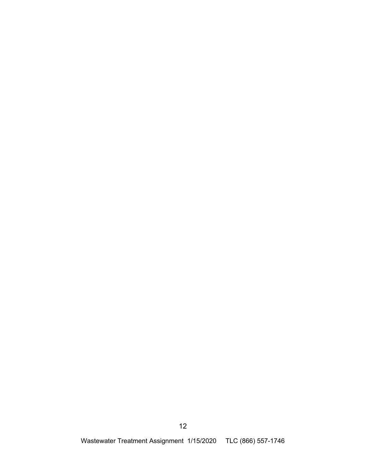Wastewater Treatment Assignment 1/15/2020 TLC (866) 557-1746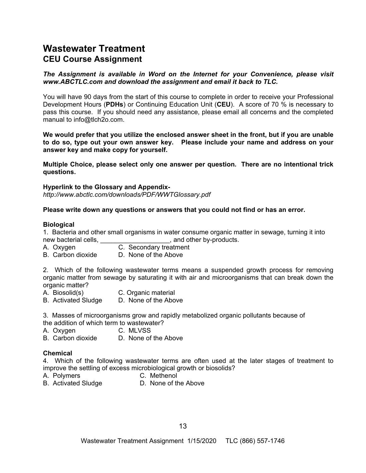# **Wastewater Treatment CEU Course Assignment**

#### *The Assignment is available in Word on the Internet for your Convenience, please visit [www.ABCTLC.com an](http://www.ABCTLC.com)d download the assignment and email it back to TLC.*

You will have 90 days from the start of this course to complete in order to receive your Professional Development Hours (**PDHs**) or Continuing Education Unit (**CEU**). A score of 70 % is necessary to pass this course. If you should need any assistance, please email all concerns and the completed manual to [info@tlch2o.com.](mailto:info@tlch2o.com) 

**We would prefer that you utilize the enclosed answer sheet in the front, but if you are unable to do so, type out your own answer key. Please include your name and address on your answer key and make copy for yourself.** 

**Multiple Choice, please select only one answer per question. There are no intentional trick questions.** 

#### **Hyperlink to the Glossary and Appendix-**

*http://[www.abctlc.com/downloads/PDF/WWTGlossary.pdf](http://www.abctlc.com/downloads/PDF/WWTGlossary.pdf)*

#### **Please write down any questions or answers that you could not find or has an error.**

#### **Biological**

1. Bacteria and other small organisms in water consume organic matter in sewage, turning it into new bacterial cells, electronic control of the products.

- A. Oxygen C. Secondary treatment
- B. Carbon dioxide D. None of the Above

2. Which of the following wastewater terms means a suspended growth process for removing organic matter from sewage by saturating it with air and microorganisms that can break down the organic matter?

- A. Biosolid(s) C. Organic material
- B. Activated Sludge D. None of the Above

3. Masses of microorganisms grow and rapidly metabolized organic pollutants because of

- the addition of which term to wastewater?
- A. Oxygen C. MLVSS
- B. Carbon dioxide D. None of the Above

#### **Chemical**

4. Which of the following wastewater terms are often used at the later stages of treatment to improve the settling of excess microbiological growth or biosolids?

- A. Polymers C. Methenol
- 
- B. Activated Sludge D. None of the Above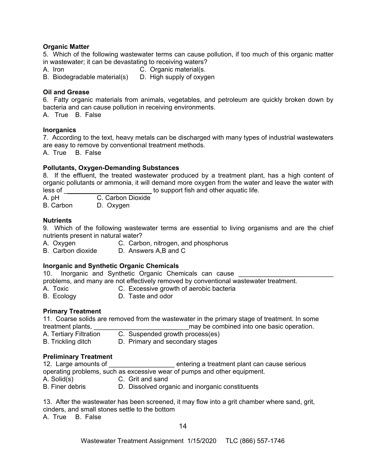# **Organic Matter**

5. Which of the following wastewater terms can cause pollution, if too much of this organic matter in wastewater; it can be devastating to receiving waters?

- 
- A. Iron C. Organic material(s.

B. Biodegradable material(s) D. High supply of oxygen

### **Oil and Grease**

6. Fatty organic materials from animals, vegetables, and petroleum are quickly broken down by bacteria and can cause pollution in receiving environments.

A. True B. False

#### **Inorganics**

7. According to the text, heavy metals can be discharged with many types of industrial wastewaters are easy to remove by conventional treatment methods.

A. True B. False

# **Pollutants, Oxygen-Demanding Substances**

8. If the effluent, the treated wastewater produced by a treatment plant, has a high content of organic pollutants or ammonia, it will demand more oxygen from the water and leave the water with less of **EXECUTE:**  $\begin{array}{ccc} \hline \text{top} & \text{top} & \text{top} \\ \hline \end{array}$  to support fish and other aquatic life.

A. pH C. Carbon Dioxide

B. Carbon D. Oxygen

#### **Nutrients**

9. Which of the following wastewater terms are essential to living organisms and are the chief nutrients present in natural water?

- A. Oxygen C. Carbon, nitrogen, and phosphorus
- B. Carbon dioxide D. Answers A,B and C

# **Inorganic and Synthetic Organic Chemicals**

10. Inorganic and Synthetic Organic Chemicals can cause

problems, and many are not effectively removed by conventional wastewater treatment.

- 
- A. Toxic **C. Excessive growth of aerobic bacteria**
- B. Ecology D. Taste and odor

# **Primary Treatment**

11. Coarse solids are removed from the wastewater in the primary stage of treatment. In some treatment plants, the same of the combined into one basic operation.

- A. Tertiary Filtration C. Suspended growth process(es)
- B. Trickling ditch D. Primary and secondary stages

# **Preliminary Treatment**

12. Large amounts of the same of the serious entering a treatment plant can cause serious

operating problems, such as excessive wear of pumps and other equipment.

- A. Solid(s) C. Grit and sand
- B. Finer debris **D.** Dissolved organic and inorganic constituents

13. After the wastewater has been screened, it may flow into a grit chamber where sand, grit, cinders, and small stones settle to the bottom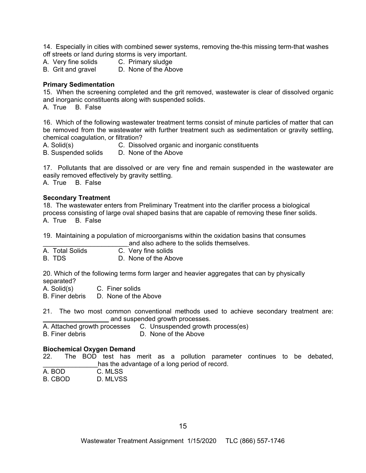14. Especially in cities with combined sewer systems, removing the-this missing term-that washes off streets or land during storms is very important.

- A. Very fine solids C. Primary sludge
- B. Grit and gravel D. None of the Above

#### **Primary Sedimentation**

15. When the screening completed and the grit removed, wastewater is clear of dissolved organic and inorganic constituents along with suspended solids.

A. True B. False

16. Which of the following wastewater treatment terms consist of minute particles of matter that can be removed from the wastewater with further treatment such as sedimentation or gravity settling, chemical coagulation, or filtration?

A. Solid(s) C. Dissolved organic and inorganic constituents

B. Suspended solids D. None of the Above

17. Pollutants that are dissolved or are very fine and remain suspended in the wastewater are easily removed effectively by gravity settling.

A. True B. False

#### **Secondary Treatment**

18. The wastewater enters from Preliminary Treatment into the clarifier process a biological process consisting of large oval shaped basins that are capable of removing these finer solids. A. True B. False

19. Maintaining a population of microorganisms within the oxidation basins that consumes

and also adhere to the solids themselves.

A. Total Solids C. Very fine solids B. TDS D. None of the Above

20. Which of the following terms form larger and heavier aggregates that can by physically separated?

A. Solid(s) C. Finer solids<br>B. Finer debris D. None of the

D. None of the Above

21. The two most common conventional methods used to achieve secondary treatment are: and suspended growth processes.

A. Attached growth processes C. Unsuspended growth process(es) B. Finer debris **D. None of the Above** 

#### **Biochemical Oxygen Demand**

22. The BOD test has merit as a pollution parameter continues to be debated, has the advantage of a long period of record.

- A. BOD C. MLSS
- B. CBOD D. MLVSS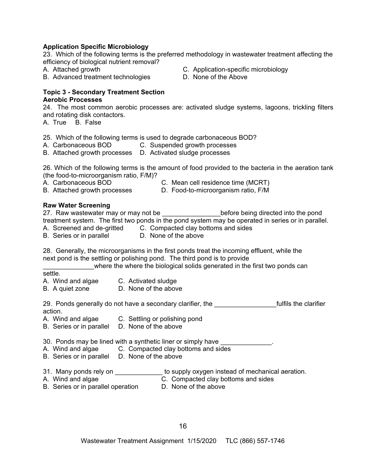#### **Application Specific Microbiology**

23. Which of the following terms is the preferred methodology in wastewater treatment affecting the efficiency of biological nutrient removal?

B. Advanced treatment technologies

- A. Attached growth C. Application-specific microbiology<br>
B. Advanced treatment technologies 
D. None of the Above
	-

# **Topic 3 - Secondary Treatment Section Aerobic Processes**

24. The most common aerobic processes are: activated sludge systems, lagoons, trickling filters and rotating disk contactors.

A. True B. False

- 25. Which of the following terms is used to degrade carbonaceous BOD?
- A. Carbonaceous BOD C. Suspended growth processes
- B. Attached growth processes D. Activated sludge processes

26. Which of the following terms is the amount of food provided to the bacteria in the aeration tank (the food-to-microorganism ratio, F/M)?

- 
- A. Carbonaceous BOD C. Mean cell residence time (MCRT)
- B. Attached growth processes D.Food-to-microorganism ratio, F/M
	-

#### **Raw Water Screening**

| A. Screened and de-gritted C. Compacted clay bottoms and sides<br>B. Series or in parallel D. None of the above                                                        | 27. Raw wastewater may or may not be _________________before being directed into the pond<br>treatment system. The first two ponds in the pond system may be operated in series or in parallel. |
|------------------------------------------------------------------------------------------------------------------------------------------------------------------------|-------------------------------------------------------------------------------------------------------------------------------------------------------------------------------------------------|
| next pond is the settling or polishing pond. The third pond is to provide<br>settle.                                                                                   | 28. Generally, the microorganisms in the first ponds treat the incoming effluent, while the<br>where the where the biological solids generated in the first two ponds can                       |
| A. Wind and algae C. Activated sludge<br>B. A quiet zone D. None of the above                                                                                          |                                                                                                                                                                                                 |
| action.                                                                                                                                                                | 29. Ponds generally do not have a secondary clarifier, the <b>container and the set of the clarifier</b>                                                                                        |
| A. Wind and algae C. Settling or polishing pond<br>B. Series or in parallel D. None of the above                                                                       |                                                                                                                                                                                                 |
| 30. Ponds may be lined with a synthetic liner or simply have<br>A. Wind and algae C. Compacted clay bottoms and sides<br>B. Series or in parallel D. None of the above |                                                                                                                                                                                                 |
| A. Wind and algae<br>B. Series or in parallel operation                                                                                                                | 31. Many ponds rely on _______________ to supply oxygen instead of mechanical aeration.<br>C. Compacted clay bottoms and sides<br>D. None of the above                                          |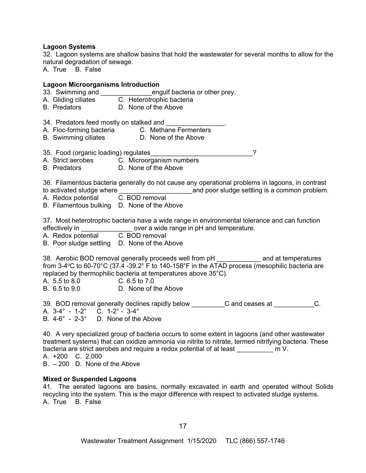#### **Lagoon Systems**

32. Lagoon systems are shallow basins that hold the wastewater for several months to allow for the natural degradation of sewage.

A. True B. False

#### **Lagoon Microorganisms Introduction**

- 33. Swimming and \_\_\_\_\_\_\_\_\_\_\_\_\_\_\_\_\_\_\_engulf bacteria or other prey.
- A. Gliding ciliates C. Heterotrophic bacteria
- B. Predators D. None of the Above

34. Predators feed mostly on stalked and

- A. Floc-forming bacteria C. Methane Fermenters
- B. Swimming ciliates **D. None of the Above**

35. Food (organic loading) regulates\_\_\_\_\_\_\_\_\_\_\_\_\_\_\_\_\_\_\_\_\_\_\_\_\_\_\_\_\_\_\_?

- A. Strict aerobes **C.** Microorganism numbers
- B. Predators D. None of the Above

36. Filamentous bacteria generally do not cause any operational problems in lagoons, in contrast to activated sludge where  $\Box$  and poor sludge settling is a common problem.

- A. Redox potential C. BOD removal
- B. Filamentous bulking D. None of the Above

37. Most heterotrophic bacteria have a wide range in environmental tolerance and can function effectively in **Example 20** over a wide range in pH and temperature.

- A. Redox potential C. BOD removal
- B. Poor sludge settling D. None of the Above

38. Aerobic BOD removal generally proceeds well from pH \_\_\_\_\_\_\_\_\_\_\_\_\_ and at temperatures from 3-4 $\rm{°C}$  to 60-70 $\rm{°C}$  (37.4 -39.2 $\rm{°}$  F to 140-158 $\rm{°F}$  in the ATAD process (mesophilic bacteria are replaced by thermophilic bacteria at temperatures above 35°C).

- A. 5.5 to 8.0 C. 6.5 to 7.0
- B. 6.5 to 9.0 D. None of the Above

39. BOD removal generally declines rapidly below \_\_\_\_\_\_\_\_\_\_C and ceases at \_\_\_\_\_\_\_\_\_\_\_\_C. A. 3-4° - 1-2° C. 1-2° - 3-4°

B. 4-6° - 2-3° D. None of the Above

40. A very specialized group of bacteria occurs to some extent in lagoons (and other wastewater treatment systems) that can oxidize ammonia via nitrite to nitrate, termed nitrifying bacteria. These bacteria are strict aerobes and require a redox potential of at least m W.

A. +200 C. 2,000

B. – 200 D. None of the Above

#### **Mixed or Suspended Lagoons**

41. The aerated lagoons are basins, normally excavated in earth and operated without Solids recycling into the system. This is the major difference with respect to activated sludge systems. A. True B. False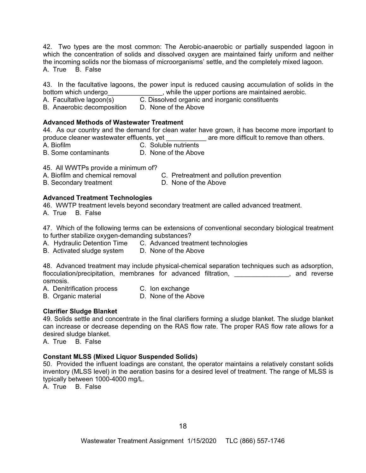42. Two types are the most common: The Aerobic-anaerobic or partially suspended lagoon in which the concentration of solids and dissolved oxygen are maintained fairly uniform and neither the incoming solids nor the biomass of microorganisms' settle, and the completely mixed lagoon. A. True B. False

43. In the facultative lagoons, the power input is reduced causing accumulation of solids in the bottom which undergo\_\_\_\_\_\_\_\_\_\_\_\_\_\_\_, while the upper portions are maintained aerobic.

A. Facultative lagoon(s) C. Dissolved organic and inorganic constituents

B. Anaerobic decomposition D. None of the Above

#### **Advanced Methods of Wastewater Treatment**

44. As our country and the demand for clean water have grown, it has become more important to produce cleaner wastewater effluents, yet \_\_\_\_\_\_\_\_\_\_\_ are more difficult to remove than others.

A. Biofilm C. Soluble nutrients

B. Some contaminants D. None of the Above

45. All WWTPs provide a minimum of?<br>A. Biofilm and chemical removal

C. Pretreatment and pollution prevention

B. Secondary treatment D. None of the Above

#### **Advanced Treatment Technologies**

46. WWTP treatment levels beyond secondary treatment are called advanced treatment. A. True B. False

47. Which of the following terms can be extensions of conventional secondary biological treatment to further stabilize oxygen-demanding substances?

- A. Hydraulic Detention Time C. Advanced treatment technologies
- B. Activated sludge system D. None of the Above

48. Advanced treatment may include physical-chemical separation techniques such as adsorption, flocculation/precipitation, membranes for advanced filtration, \_\_\_\_\_\_\_\_\_\_\_\_\_\_\_, and reverse osmosis.

|  | A. Denitrification process | C. Ion exchange |
|--|----------------------------|-----------------|
|--|----------------------------|-----------------|

B. Organic material D. None of the Above

#### **Clarifier Sludge Blanket**

49. Solids settle and concentrate in the final clarifiers forming a sludge blanket. The sludge blanket can increase or decrease depending on the RAS flow rate. The proper RAS flow rate allows for a desired sludge blanket.

A. True B. False

#### **Constant MLSS (Mixed Liquor Suspended Solids)**

50. Provided the influent loadings are constant, the operator maintains a relatively constant solids inventory (MLSS level) in the aeration basins for a desired level of treatment. The range of MLSS is typically between 1000-4000 mg/L.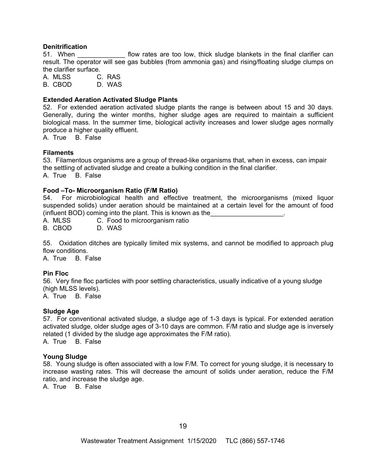#### **Denitrification**

51. When **the state of the flow rates are too low, thick sludge blankets in the final clarifier can** result. The operator will see gas bubbles (from ammonia gas) and rising/floating sludge clumps on the clarifier surface.

A. MLSS C. RAS B. CBOD D. WAS

#### **Extended Aeration Activated Sludge Plants**

52. For extended aeration activated sludge plants the range is between about 15 and 30 days. Generally, during the winter months, higher sludge ages are required to maintain a sufficient biological mass. In the summer time, biological activity increases and lower sludge ages normally produce a higher quality effluent.

A. True B. False

#### **Filaments**

53. Filamentous organisms are a group of thread-like organisms that, when in excess, can impair the settling of activated sludge and create a bulking condition in the final clarifier. A. True B. False

#### **Food –To- Microorganism Ratio (F/M Ratio)**

54. For microbiological health and effective treatment, the microorganisms (mixed liquor suspended solids) under aeration should be maintained at a certain level for the amount of food (influent BOD) coming into the plant. This is known as the

A. MLSS C. Food to microorganism ratio B. CBOD D. WAS

55. Oxidation ditches are typically limited mix systems, and cannot be modified to approach plug flow conditions.

A. True B. False

#### **Pin Floc**

56. Very fine floc particles with poor settling characteristics, usually indicative of a young sludge (high MLSS levels).

A. True B. False

#### **Sludge Age**

57. For conventional activated sludge, a sludge age of 1-3 days is typical. For extended aeration activated sludge, older sludge ages of 3-10 days are common. F/M ratio and sludge age is inversely related (1 divided by the sludge age approximates the F/M ratio). A. True B. False

#### **Young Sludge**

58. Young sludge is often associated with a low F/M. To correct for young sludge, it is necessary to increase wasting rates. This will decrease the amount of solids under aeration, reduce the F/M ratio, and increase the sludge age.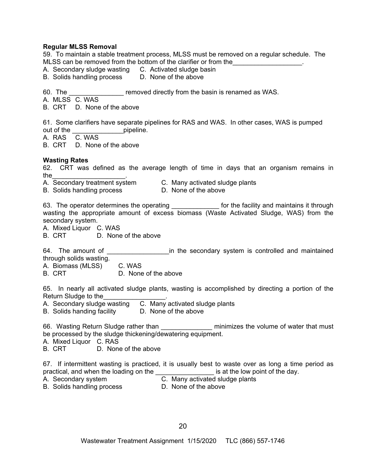#### **Regular MLSS Removal**

59. To maintain a stable treatment process, MLSS must be removed on a regular schedule. The MLSS can be removed from the bottom of the clarifier or from the  $\blacksquare$ 

A. Secondary sludge wasting C. Activated sludge basin

B. Solids handling process D. None of the above

60. The **Example 3** removed directly from the basin is renamed as WAS.

A. MLSS C. WAS

B. CRT D. None of the above

61. Some clarifiers have separate pipelines for RAS and WAS. In other cases, WAS is pumped out of the \_\_\_\_\_\_\_\_\_\_\_\_\_\_\_\_\_\_\_\_\_pipeline.

A. RAS C. WAS

B. CRT D. None of the above

#### **Wasting Rates**

62. CRT was defined as the average length of time in days that an organism remains in the\_\_\_\_\_\_\_\_\_\_\_\_\_\_\_\_\_\_\_\_\_\_\_\_\_\_\_\_\_.

A. Secondary treatment system C. Many activated sludge plants

B. Solids handling process **D. None of the above** 

63. The operator determines the operating \_\_\_\_\_\_\_\_\_\_\_\_\_\_ for the facility and maintains it through wasting the appropriate amount of excess biomass (Waste Activated Sludge, WAS) from the secondary system.

A. Mixed Liquor C. WAS

B. CRT D. None of the above

64. The amount of \_\_\_\_\_\_\_\_\_\_\_\_\_\_\_\_\_\_\_\_\_\_in the secondary system is controlled and maintained through solids wasting.

A. Biomass (MLSS) C. WAS

B. CRT D. None of the above

65. In nearly all activated sludge plants, wasting is accomplished by directing a portion of the Return Sludge to the

A. Secondary sludge wasting C. Many activated sludge plants

B. Solids handing facility D. None of the above

66. Wasting Return Sludge rather than \_\_\_\_\_\_\_\_\_\_\_\_\_\_\_\_\_ minimizes the volume of water that must be processed by the sludge thickening/dewatering equipment.

A. Mixed Liquor C. RAS

B. CRT D. None of the above

67. If intermittent wasting is practiced, it is usually best to waste over as long a time period as practical, and when the loading on the \_\_\_\_\_\_\_\_\_\_\_\_\_\_\_\_\_\_\_\_\_\_ is at the low point of the day.

- A. Secondary system C. Many activated sludge plants
- B. Solids handling process D. None of the above

20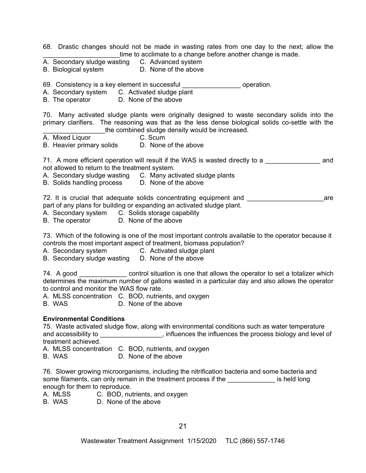68. Drastic changes should not be made in wasting rates from one day to the next; allow the time to acclimate to a change before another change is made. A. Secondary sludge wasting C. Advanced system B. Biological system D. None of the above 69. Consistency is a key element in successful example operation. A. Secondary system C. Activated sludge plant B. The operator D. None of the above 70. Many activated sludge plants were originally designed to waste secondary solids into the primary clarifiers. The reasoning was that as the less dense biological solids co-settle with the the combined sludge density would be increased. A. Mixed Liquor C. Scum B. Heavier primary solids D. None of the above 71. A more efficient operation will result if the WAS is wasted directly to a \_\_\_\_\_\_\_\_\_\_\_\_\_\_\_ and not allowed to return to the treatment system. A. Secondary sludge wasting C. Many activated sludge plants B. Solids handling process D. None of the above 72. It is crucial that adequate solids concentrating equipment and \_\_\_\_\_\_\_\_\_\_\_\_\_\_\_\_\_\_\_\_\_\_\_\_\_\_\_\_\_\_are part of any plans for building or expanding an activated sludge plant. A. Secondary system C. Solids storage capability B. The operator D. None of the above 73. Which of the following is one of the most important controls available to the operator because it controls the most important aspect of treatment, biomass population? A. Secondary system C. Activated sludge plant B. Secondary sludge wasting D. None of the above 74. A good <u>secole as control situation is one that allows the operator to set a totalizer which</u> determines the maximum number of gallons wasted in a particular day and also allows the operator to control and monitor the WAS flow rate. A. MLSS concentration C. BOD, nutrients, and oxygen B. WAS D. None of the above **Environmental Conditions**  75. Waste activated sludge flow, along with environmental conditions such as water temperature and accessibility to \_\_\_\_\_\_\_\_\_\_\_\_\_\_\_, influences the influences the process biology and level of treatment achieved. A. MLSS concentration C. BOD, nutrients, and oxygen B. WAS D. None of the above 76. Slower growing microorganisms, including the nitrification bacteria and some bacteria and some filaments, can only remain in the treatment process if the **Example 2** is held long enough for them to reproduce. A. MLSS C. BOD, nutrients, and oxygen B. WAS D. None of the above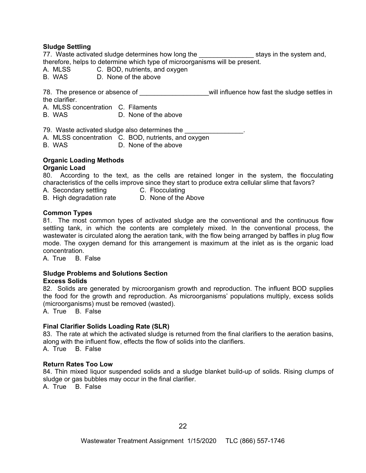#### **Sludge Settling**

77. Waste activated sludge determines how long the the stays in the system and, therefore, helps to determine which type of microorganisms will be present.

- A. MLSS C. BOD, nutrients, and oxygen
- B. WAS D. None of the above

78. The presence or absence of the sludge settles in the sludge settles in the clarifier.

- A. MLSS concentration C. Filaments
- B. WAS D. None of the above

79. Waste activated sludge also determines the

- A. MLSS concentration C. BOD, nutrients, and oxygen
- B. WAS D. None of the above

# **Organic Loading Methods**

#### **Organic Load**

80. According to the text, as the cells are retained longer in the system, the flocculating characteristics of the cells improve since they start to produce extra cellular slime that favors?

- A. Secondary settling C. Flocculating
- B. High degradation rate D. None of the Above

#### **Common Types**

81. The most common types of activated sludge are the conventional and the continuous flow settling tank, in which the contents are completely mixed. In the conventional process, the wastewater is circulated along the aeration tank, with the flow being arranged by baffles in plug flow mode. The oxygen demand for this arrangement is maximum at the inlet as is the organic load concentration.

A. True B. False

#### **Sludge Problems and Solutions Section**

#### **Excess Solids**

82. Solids are generated by microorganism growth and reproduction. The influent BOD supplies the food for the growth and reproduction. As microorganisms' populations multiply, excess solids (microorganisms) must be removed (wasted).

A. True B. False

#### **Final Clarifier Solids Loading Rate (SLR)**

83. The rate at which the activated sludge is returned from the final clarifiers to the aeration basins, along with the influent flow, effects the flow of solids into the clarifiers. A. True B. False

# **Return Rates Too Low**

84. Thin mixed liquor suspended solids and a sludge blanket build-up of solids. Rising clumps of sludge or gas bubbles may occur in the final clarifier.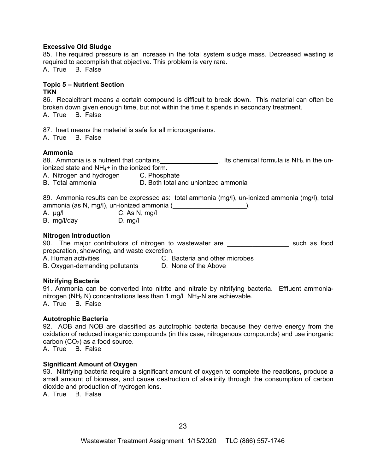#### **Excessive Old Sludge**

85. The required pressure is an increase in the total system sludge mass. Decreased wasting is required to accomplish that objective. This problem is very rare.

A. True B. False

#### **Topic 5 – Nutrient Section TKN**

86. Recalcitrant means a certain compound is difficult to break down. This material can often be broken down given enough time, but not within the time it spends in secondary treatment. A. True B. False

87. Inert means the material is safe for all microorganisms.

A. True B. False

# **Ammonia**

88. Ammonia is a nutrient that contains  $\frac{1}{2}$  lts chemical formula is NH<sub>3</sub> in the unionized state and  $NH<sub>4</sub>$ + in the ionized form.

A. Nitrogen and hydrogen C. Phosphate

B. Total ammonia D. Both total and unionized ammonia

89. Ammonia results can be expressed as: total ammonia (mg/l), un-ionized ammonia (mg/l), total ammonia (as N, mg/l), un-ionized ammonia (<br>
).

| A. $\mu$ g/l | . | C. As N, $mg/l$ |  |
|--------------|---|-----------------|--|
| B. mg/l/day  |   | $D.$ mg/l       |  |

# **Nitrogen Introduction**

90. The major contributors of nitrogen to wastewater are **the such as food** preparation, showering, and waste excretion.

A. Human activities C. Bacteria and other microbes

B. Oxygen-demanding pollutants D. None of the Above

#### **Nitrifying Bacteria**

91. Ammonia can be converted into nitrite and nitrate by nitrifying bacteria. Effluent ammonianitrogen (NH<sub>3</sub>-N) concentrations less than 1 mg/L NH<sub>3</sub>-N are achievable. A. True B. False

#### **Autotrophic Bacteria**

92. AOB and NOB are classified as autotrophic bacteria because they derive energy from the oxidation of reduced inorganic compounds (in this case, nitrogenous compounds) and use inorganic carbon  $(CO<sub>2</sub>)$  as a food source.

A. True B. False

#### **Significant Amount of Oxygen**

93. Nitrifying bacteria require a significant amount of oxygen to complete the reactions, produce a small amount of biomass, and cause destruction of alkalinity through the consumption of carbon dioxide and production of hydrogen ions.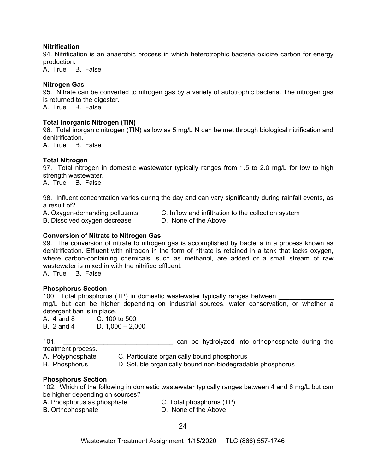#### **Nitrification**

94. Nitrification is an anaerobic process in which heterotrophic bacteria oxidize carbon for energy production.

A. True B. False

#### **Nitrogen Gas**

95. Nitrate can be converted to nitrogen gas by a variety of autotrophic bacteria. The nitrogen gas is returned to the digester.

A. True B. False

#### **Total Inorganic Nitrogen (TIN)**

96. Total inorganic nitrogen (TIN) as low as 5 mg/L N can be met through biological nitrification and denitrification.

A. True B. False

#### **Total Nitrogen**

97. Total nitrogen in domestic wastewater typically ranges from 1.5 to 2.0 mg/L for low to high strength wastewater.

A. True B. False

98. Influent concentration varies during the day and can vary significantly during rainfall events, as a result of?

B. Dissolved oxygen decrease D. None of the Above

- A. Oxygen-demanding pollutants C. Inflow and infiltration to the collection system
	-

#### **Conversion of Nitrate to Nitrogen Gas**

99. The conversion of nitrate to nitrogen gas is accomplished by bacteria in a process known as denitrification. Effluent with nitrogen in the form of nitrate is retained in a tank that lacks oxygen, where carbon-containing chemicals, such as methanol, are added or a small stream of raw wastewater is mixed in with the nitrified effluent.

A. True B. False

#### **Phosphorus Section**

100. Total phosphorus (TP) in domestic wastewater typically ranges between \_\_\_\_\_\_\_\_\_\_\_\_\_\_\_

mg/L but can be higher depending on industrial sources, water conservation, or whether a detergent ban is in place.

A. 4 and 8 C. 100 to 500 B. 2 and 4 D.  $1,000 - 2,000$ 

101. **101. 101. 101. 101. 101. 101. 101. 101. 11. 11. 11. 11. 11. 11. 11. 11. 11. 11. 11. 11. 11. 11. 11. 11. 11. 11. 11. 11. 11. 11. 11. 11. 11. 11. 11.** 

treatment process.

A. Polyphosphate C. Particulate organically bound phosphorus

B. Phosphorus D. Soluble organically bound non-biodegradable phosphorus

#### **Phosphorus Section**

102. Which of the following in domestic wastewater typically ranges between 4 and 8 mg/L but can be higher depending on sources?

A. Phosphorus as phosphate C. Total phosphorus (TP)

- 
- B. Orthophosphate D. None of the Above
	- 24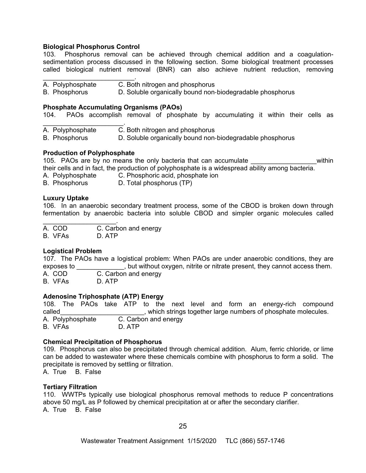#### **Biological Phosphorus Control**

103. Phosphorus removal can be achieved through chemical addition and a coagulationsedimentation process discussed in the following section. Some biological treatment processes called biological nutrient removal (BNR) can also achieve nutrient reduction, removing

- $\mathcal{L}_\text{max}$  , where  $\mathcal{L}_\text{max}$  and  $\mathcal{L}_\text{max}$ A. Polyphosphate C. Both nitrogen and phosphorus
- B. Phosphorus D. Soluble organically bound non-biodegradable phosphorus

#### **Phosphate Accumulating Organisms (PAOs)**

104. PAOs accomplish removal of phosphate by accumulating it within their cells as

- $\mathcal{L}_\text{max}$  , where  $\mathcal{L}_\text{max}$  is the set of  $\mathcal{L}_\text{max}$ A. Polyphosphate C. Both nitrogen and phosphorus
- B. Phosphorus D. Soluble organically bound non-biodegradable phosphorus

#### **Production of Polyphosphate**

105. PAOs are by no means the only bacteria that can accumulate \_\_\_\_\_\_\_\_\_\_\_\_\_\_\_\_\_\_within their cells and in fact, the production of polyphosphate is a widespread ability among bacteria.

- A. Polyphosphate C. Phosphoric acid, phosphate ion
- B. Phosphorus D. Total phosphorus (TP)

#### **Luxury Uptake**

106. In an anaerobic secondary treatment process, some of the CBOD is broken down through fermentation by anaerobic bacteria into soluble CBOD and simpler organic molecules called

 $\mathcal{L}_\text{max}$  and  $\mathcal{L}_\text{max}$  and  $\mathcal{L}_\text{max}$ A. COD C. Carbon and energy B. VFAs D. ATP

#### **Logistical Problem**

107. The PAOs have a logistical problem: When PAOs are under anaerobic conditions, they are exposes to **Exposes to** , but without oxygen, nitrite or nitrate present, they cannot access them. A. COD C. Carbon and energy B. VFAs D. ATP

#### **Adenosine Triphosphate (ATP) Energy**

108. The PAOs take ATP to the next level and form an energy-rich compound called\_\_\_\_\_\_\_\_\_\_\_\_\_\_\_\_\_\_\_\_\_\_\_\_, which strings together large numbers of phosphate molecules. A. Polyphosphate C. Carbon and energy B. VFAs D. ATP

#### **Chemical Precipitation of Phosphorus**

109. Phosphorus can also be precipitated through chemical addition. Alum, ferric chloride, or lime can be added to wastewater where these chemicals combine with phosphorus to form a solid. The precipitate is removed by settling or filtration.

A. True B. False

#### **Tertiary Filtration**

110. WWTPs typically use biological phosphorus removal methods to reduce P concentrations above 50 mg/L as P followed by chemical precipitation at or after the secondary clarifier. A. True B. False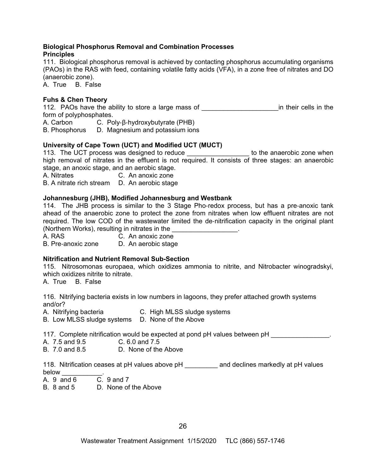#### **Biological Phosphorus Removal and Combination Processes Principles**

111. Biological phosphorus removal is achieved by contacting phosphorus accumulating organisms (PAOs) in the RAS with feed, containing volatile fatty acids (VFA), in a zone free of nitrates and DO (anaerobic zone).

A. True B. False

### **Fuhs & Chen Theory**

112. PAOs have the ability to store a large mass of \_\_\_\_\_\_\_\_\_\_\_\_\_\_\_\_\_\_\_\_\_in their cells in the form of polyphosphates.

A. Carbon C. Poly-β-hydroxybutyrate (PHB)

B. Phosphorus D. Magnesium and potassium ions

# **University of Cape Town (UCT) and Modified UCT (MUCT)**

113. The UCT process was designed to reduce \_\_\_\_\_\_\_\_\_\_\_\_\_\_\_\_\_\_\_ to the anaerobic zone when high removal of nitrates in the effluent is not required. It consists of three stages: an anaerobic stage, an anoxic stage, and an aerobic stage.

A. Nitrates C. An anoxic zone

B. A nitrate rich stream D. An aerobic stage

# **Johannesburg (JHB), Modified Johannesburg and Westbank**

114. The JHB process is similar to the 3 Stage Pho-redox process, but has a pre-anoxic tank ahead of the anaerobic zone to protect the zone from nitrates when low effluent nitrates are not required. The low COD of the wastewater limited the de-nitrification capacity in the original plant (Northern Works), resulting in nitrates in the  $\blacksquare$ A. RAS C. An anoxic zone

B. Pre-anoxic zone D. An aerobic stage

# **Nitrification and Nutrient Removal Sub-Section**

115. Nitrosomonas europaea, which oxidizes ammonia to nitrite, and Nitrobacter winogradskyi, which oxidizes nitrite to nitrate.

A. True B. False

116. Nitrifying bacteria exists in low numbers in lagoons, they prefer attached growth systems and/or?

A. Nitrifying bacteria C. High MLSS sludge systems

B. Low MLSS sludge systems D. None of the Above

117. Complete nitrification would be expected at pond pH values between pH

A. 7.5 and 9.5 C. 6.0 and 7.5

B. 7.0 and 8.5 D. None of the Above

118. Nitrification ceases at pH values above pH \_\_\_\_\_\_\_\_ and declines markedly at pH values below \_\_\_\_\_\_\_\_\_\_\_.

A. 9 and 6 C. 9 and 7

B. 8 and 5 D. None of the Above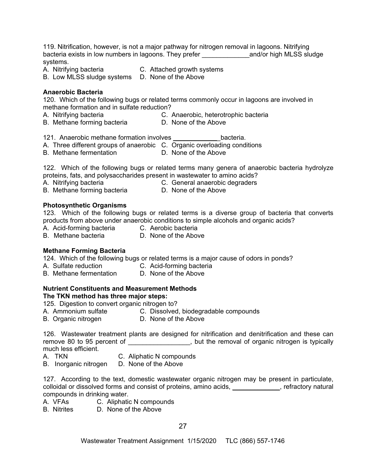119. Nitrification, however, is not a major pathway for nitrogen removal in lagoons. Nitrifying bacteria exists in low numbers in lagoons. They prefer \_\_\_\_\_\_\_\_\_\_\_\_\_and/or high MLSS sludge systems.

- A. Nitrifying bacteria C. Attached growth systems
- B. Low MLSS sludge systems D. None of the Above

#### **Anaerobic Bacteria**

120. Which of the following bugs or related terms commonly occur in lagoons are involved in methane formation and in sulfate reduction?

- 
- A. Nitrifying bacteria C. Anaerobic, heterotrophic bacteria
- B. Methane forming bacteria **D. None of the Above**
- 121. Anaerobic methane formation involves \_\_\_\_\_\_\_\_\_\_\_\_\_bacteria.
- A. Three different groups of anaerobic C. Organic overloading conditions
- B. Methane fermentation **D. None of the Above**

122. Which of the following bugs or related terms many genera of anaerobic bacteria hydrolyze proteins, fats, and polysaccharides present in wastewater to amino acids?

- 
- A. Nitrifying bacteria C. General anaerobic degraders
- B. Methane forming bacteria **D. None of the Above** 
	-

#### **Photosynthetic Organisms**

123. Which of the following bugs or related terms is a diverse group of bacteria that converts products from above under anaerobic conditions to simple alcohols and organic acids?

A. Acid-forming bacteria C. Aerobic bacteria

- 
- B. Methane bacteria D. None of the Above

# **Methane Forming Bacteria**

124. Which of the following bugs or related terms is a major cause of odors in ponds?

- A. Sulfate reduction C. Acid-forming bacteria
- B. Methane fermentation D. None of the Above

# **Nutrient Constituents and Measurement Methods**

#### **The TKN method has three major steps:**

125. Digestion to convert organic nitrogen to?

- A. Ammonium sulfate C. Dissolved, biodegradable compounds
- B. Organic nitrogen **D. None of the Above**

126. Wastewater treatment plants are designed for nitrification and denitrification and these can remove 80 to 95 percent of  $\blacksquare$ , but the removal of organic nitrogen is typically much less efficient.

- A. TKN C. Aliphatic N compounds
- B. Inorganic nitrogen D. None of the Above

127. According to the text, domestic wastewater organic nitrogen may be present in particulate, colloidal or dissolved forms and consist of proteins, amino acids, \_\_\_\_\_\_\_\_\_\_\_\_\_, refractory natural compounds in drinking water.<br>A. VFAs C. Aliphatic

- C. Aliphatic N compounds
- B. Nitrites D. None of the Above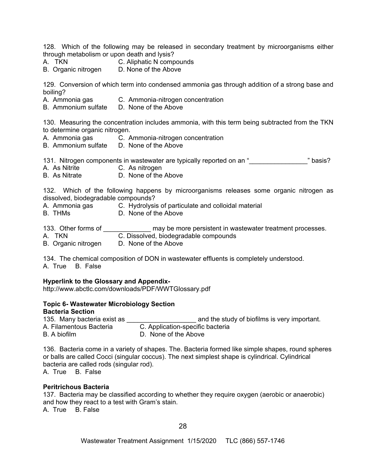128. Which of the following may be released in secondary treatment by microorganisms either through metabolism or upon death and lysis?

- A. TKN C. Aliphatic N compounds<br>B. Organic nitrogen D. None of the Above
- B. Organic nitrogen

129. Conversion of which term into condensed ammonia gas through addition of a strong base and boiling?

- A. Ammonia gas C. Ammonia-nitrogen concentration
- B. Ammonium sulfate D. None of the Above

130. Measuring the concentration includes ammonia, with this term being subtracted from the TKN to determine organic nitrogen.

- A. Ammonia gas C. Ammonia-nitrogen concentration
- B. Ammonium sulfate D. None of the Above

131. Nitrogen components in wastewater are typically reported on an "*\_\_\_\_\_\_\_\_\_\_\_\_\_\_\_\_\_\_\_\_*" basis?<br>A. As Nitrite **changes** C. As nitrogen

- A. As Nitrite
- B. As Nitrate D. None of the Above

132. Which of the following happens by microorganisms releases some organic nitrogen as dissolved, biodegradable compounds?

- A. Ammonia gas C. Hydrolysis of particulate and colloidal material
- B. THMs D. None of the Above

133. Other forms of \_\_\_\_\_\_\_\_\_\_\_\_\_\_ may be more persistent in wastewater treatment processes.

- A. TKN C. Dissolved, biodegradable compounds
- B. Organic nitrogen D. None of the Above

134. The chemical composition of DON in wastewater effluents is completely understood. A. True B. False

#### **Hyperlink to the Glossary and Appendix-**

http://[www.abctlc.com/downloads/PDF/WWTGlossary.pdf](http://www.abctlc.com/downloads/PDF/WWTGlossary.pdf)

#### **Topic 6- Wastewater Microbiology Section Bacteria Section**

| 135. Many bacteria exist as | and the study of biofilms is very important. |
|-----------------------------|----------------------------------------------|
| A. Filamentous Bacteria     | C. Application-specific bacteria             |
| B. A biofilm                | D. None of the Above                         |

136. Bacteria come in a variety of shapes. The. Bacteria formed like simple shapes, round spheres or balls are called Cocci (singular coccus). The next simplest shape is cylindrical. Cylindrical bacteria are called rods (singular rod).

A. True B. False

#### **Peritrichous Bacteria**

137. Bacteria may be classified according to whether they require oxygen (aerobic or anaerobic) and how they react to a test with Gram's stain. A. True B. False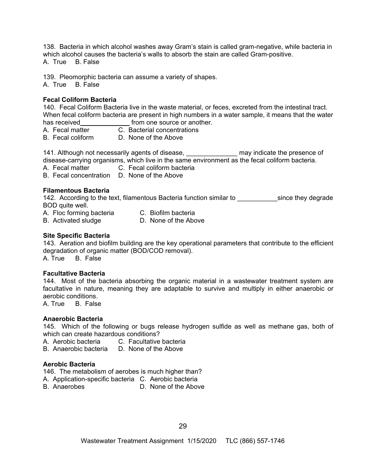138. Bacteria in which alcohol washes away Gram's stain is called gram-negative, while bacteria in which alcohol causes the bacteria's walls to absorb the stain are called Gram-positive. A. True B. False

139. Pleomorphic bacteria can assume a variety of shapes.

A. True B. False

# **Fecal Coliform Bacteria**

140. Fecal Coliform Bacteria live in the waste material, or feces, excreted from the intestinal tract. When fecal coliform bacteria are present in high numbers in a water sample, it means that the water has received extended the source or another.

A. Fecal matter **C.** Bacterial concentrations

B. Fecal coliform D. None of the Above

141. Although not necessarily agents of disease, \_\_\_\_\_\_\_\_\_\_\_\_\_\_\_ may indicate the presence of disease-carrying organisms, which live in the same environment as the fecal coliform bacteria.

- A. Fecal matter C. Fecal coliform bacteria
- B. Fecal concentration D. None of the Above

# **Filamentous Bacteria**

142. According to the text, filamentous Bacteria function similar to \_\_\_\_\_\_\_\_\_\_\_\_since they degrade BOD quite well.

A. Floc forming bacteria C. Biofilm bacteria

B. Activated sludge D. None of the Above

# **Site Specific Bacteria**

143. Aeration and biofilm building are the key operational parameters that contribute to the efficient degradation of organic matter (BOD/COD removal). A. True B. False

**Facultative Bacteria** 

144. Most of the bacteria absorbing the organic material in a wastewater treatment system are facultative in nature, meaning they are adaptable to survive and multiply in either anaerobic or aerobic conditions.

A. True B. False

#### **Anaerobic Bacteria**

145. Which of the following or bugs release hydrogen sulfide as well as methane gas, both of which can create hazardous conditions?

- A. Aerobic bacteria C. Facultative bacteria
- B. Anaerobic bacteria D. None of the Above

#### **Aerobic Bacteria**

146. The metabolism of aerobes is much higher than?

- A. Application-specific bacteria C. Aerobic bacteria
- B. Anaerobes D. None of the Above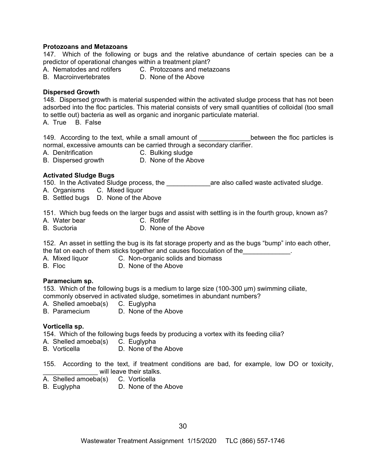#### **Protozoans and Metazoans**

147. Which of the following or bugs and the relative abundance of certain species can be a predictor of operational changes within a treatment plant?

- A. Nematodes and rotifers C. Protozoans and metazoans<br>B. Macroinvertebrates D. None of the Above
- B. Macroinvertebrates

#### **Dispersed Growth**

148. Dispersed growth is material suspended within the activated sludge process that has not been adsorbed into the floc particles. This material consists of very small quantities of colloidal (too small to settle out) bacteria as well as organic and inorganic particulate material.

A. True B. False

149. According to the text, while a small amount of Theorem is between the floc particles is normal, excessive amounts can be carried through a secondary clarifier.

A. Denitrification C. Bulking sludge

B. Dispersed growth D. None of the Above

#### **Activated Sludge Bugs**

150. In the Activated Sludge process, the **Example 20** are also called waste activated sludge.

- A. Organisms C. Mixed liquor
- B. Settled bugs D. None of the Above

151. Which bug feeds on the larger bugs and assist with settling is in the fourth group, known as?

- A. Water bear **C. Rotifer**
- B. Suctoria D. None of the Above

152. An asset in settling the bug is its fat storage property and as the bugs "bump" into each other, the fat on each of them sticks together and causes flocculation of the

- A. Mixed liquor C. Non-organic solids and biomass
- B. Floc D. None of the Above

#### **Paramecium sp.**

153. Which of the following bugs is a medium to large size (100-300 μm) swimming ciliate, commonly observed in activated sludge, sometimes in abundant numbers?

- A. Shelled amoeba(s) C. Euglypha
- 
- B. Paramecium D. None of the Above

#### **Vorticella sp.**

154. Which of the following bugs feeds by producing a vortex with its feeding cilia?

- A. Shelled amoeba(s) C. Euglypha
- B. Vorticella D. None of the Above
- 155. According to the text, if treatment conditions are bad, for example, low DO or toxicity, \_\_\_\_\_\_\_\_\_\_\_\_\_\_\_ will leave their stalks.
- A. Shelled amoeba(s) C. Vorticella
- B. Euglypha D. None of the Above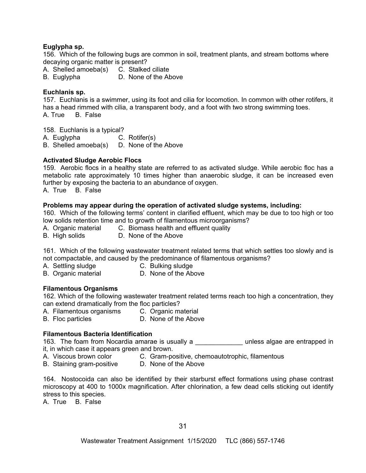#### **Euglypha sp.**

156. Which of the following bugs are common in soil, treatment plants, and stream bottoms where decaying organic matter is present?

A. Shelled amoeba(s) C. Stalked ciliate

B. Euglypha D. None of the Above

#### **Euchlanis sp.**

157. Euchlanis is a swimmer, using its foot and cilia for locomotion. In common with other rotifers, it has a head rimmed with cilia, a transparent body, and a foot with two strong swimming toes. A. True B. False

158. Euchlanis is a typical?

- A. Euglypha C. Rotifer(s)
- B. Shelled amoeba(s) D. None of the Above

#### **Activated Sludge Aerobic Flocs**

159. Aerobic flocs in a healthy state are referred to as activated sludge. While aerobic floc has a metabolic rate approximately 10 times higher than anaerobic sludge, it can be increased even further by exposing the bacteria to an abundance of oxygen.

A. True B. False

#### **Problems may appear during the operation of activated sludge systems, including:**

160. Which of the following terms' content in clarified effluent, which may be due to too high or too low solids retention time and to growth of filamentous microorganisms?

- A. Organic material C. Biomass health and effluent quality
- B. High solids D. None of the Above

161. Which of the following wastewater treatment related terms that which settles too slowly and is not compactable, and caused by the predominance of filamentous organisms?

- A. Settling sludge C. Bulking sludge
- B. Organic material D. None of the Above

#### **Filamentous Organisms**

162. Which of the following wastewater treatment related terms reach too high a concentration, they can extend dramatically from the floc particles?

- A. Filamentous organisms C. Organic material
- B. Floc particles **D.** None of the Above

#### **Filamentous Bacteria Identification**

163. The foam from Nocardia amarae is usually a Theorem unless algae are entrapped in it, in which case it appears green and brown.

- A. Viscous brown color C. Gram-positive, chemoautotrophic, filamentous
- B. Staining gram-positive D. None of the Above

164. Nostocoida can also be identified by their starburst effect formations using phase contrast microscopy at 400 to 1000x magnification. After chlorination, a few dead cells sticking out identify stress to this species.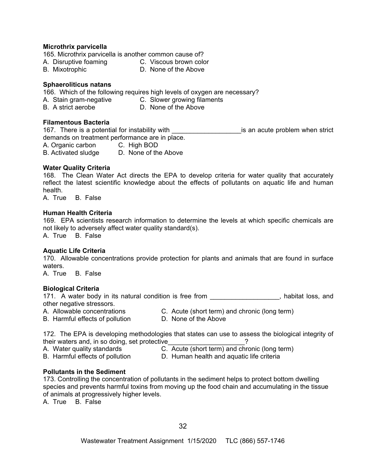#### **Microthrix parvicella**

165. Microthrix parvicella is another common cause of?

- A. Disruptive foaming C. Viscous brown color
- B. Mixotrophic D. None of the Above

#### **Sphaeroliticus natans**

166. Which of the following requires high levels of oxygen are necessary?

- A. Stain gram-negative C. Slower growing filaments
- B. A strict aerobe **D. None of the Above**

#### **Filamentous Bacteria**

167. There is a potential for instability with the same is an acute problem when strict demands on treatment performance are in place.

A. Organic carbon C. High BOD

B. Activated sludge D. None of the Above

#### **Water Quality Criteria**

168. The Clean Water Act directs the EPA to develop criteria for water quality that accurately reflect the latest scientific knowledge about the effects of pollutants on aquatic life and human health.

A. True B. False

#### **Human Health Criteria**

169. EPA scientists research information to determine the levels at which specific chemicals are not likely to adversely affect water quality standard(s).

A. True B. False

#### **Aquatic Life Criteria**

170. Allowable concentrations provide protection for plants and animals that are found in surface waters.

A. True B. False

#### **Biological Criteria**

171. A water body in its natural condition is free from \_\_\_\_\_\_\_\_\_\_\_\_\_\_\_\_, habitat loss, and other negative stressors.

- 
- B. Harmful effects of pollution **D. None of the Above**
- A. Allowable concentrations C. Acute (short term) and chronic (long term)
	-

172. The EPA is developing methodologies that states can use to assess the biological integrity of their waters and, in so doing, set protective measurement of the state of the state of the state of the state o

- A. Water quality standards C. Acute (short term) and chronic (long term)
- 
- B. Harmful effects of pollution **D. Human health and aquatic life criteria**

# **Pollutants in the Sediment**

173. Controlling the concentration of pollutants in the sediment helps to protect bottom dwelling species and prevents harmful toxins from moving up the food chain and accumulating in the tissue of animals at progressively higher levels.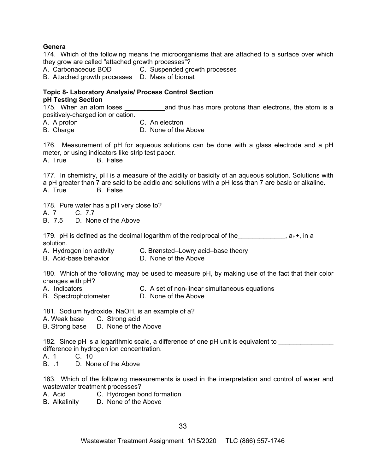#### **Genera**

174. Which of the following means the microorganisms that are attached to a surface over which they grow are called "attached growth processes"?

- A. Carbonaceous BOD C. Suspended growth processes
- B. Attached growth processes D.Mass of biomat

#### **Topic 8- Laboratory Analysis/ Process Control Section pH Testing Section**

175. When an atom loses \_\_\_\_\_\_\_\_\_\_\_and thus has more protons than electrons, the atom is a positively-charged ion or cation.

- A. A proton C. An electron
- B. Charge D. None of the Above

176. Measurement of pH for aqueous solutions can be done with a glass electrode and a pH meter, or using indicators like strip test paper.

A. True B. False

177. In chemistry, pH is a measure of the acidity or basicity of an aqueous solution. Solutions with a pH greater than 7 are said to be acidic and solutions with a pH less than 7 are basic or alkaline. A. True B. False

178. Pure water has a pH very close to?

A. 7 C. 7.7<br>B. 7.5 D. Nor

D. None of the Above

179. pH is defined as the decimal logarithm of the reciprocal of the  $A_{H+}$ , in a solution.

- A. Hydrogen ion activity C. Brønsted–Lowry acid–base theory
- B. Acid-base behavior D. None of the Above

180. Which of the following may be used to measure pH, by making use of the fact that their color changes with pH?

- A. Indicators C. A set of non-linear simultaneous equations
- B. SpectrophotometerD. None of the Above

181. Sodium hydroxide, NaOH, is an example of a?

A. Weak base C. Strong acid

B. Strong base D. None of the Above

182. Since pH is a logarithmic scale, a difference of one pH unit is equivalent to difference in hydrogen ion concentration.

A. 1 C. 10

B. .1 D. None of the Above

183. Which of the following measurements is used in the interpretation and control of water and wastewater treatment processes?

- A. Acid C. Hydrogen bond formation
- B. Alkalinity D. None of the Above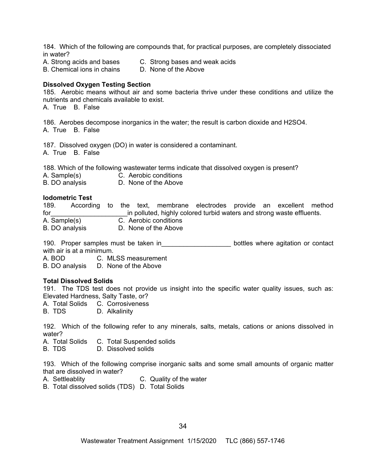184. Which of the following are compounds that, for practical purposes, are completely dissociated in water?

- A. Strong acids and bases C. Strong bases and weak acids<br>B. Chemical ions in chains D. None of the Above
- B. Chemical ions in chains

#### **Dissolved Oxygen Testing Section**

185. Aerobic means without air and some bacteria thrive under these conditions and utilize the nutrients and chemicals available to exist.

A. True B. False

186. Aerobes decompose inorganics in the water; the result is carbon dioxide and H2SO4. A. True B. False

187. Dissolved oxygen (DO) in water is considered a contaminant. A. True B. False

188. Which of the following wastewater terms indicate that dissolved oxygen is present?

A. Sample(s) C. Aerobic conditions

B. DO analysis D. None of the Above

#### **Iodometric Test**

| 189.         |                |  | According to the text, membrane electrodes provide an excellent method |  |  |  |
|--------------|----------------|--|------------------------------------------------------------------------|--|--|--|
| for          |                |  | in polluted, highly colored turbid waters and strong waste effluents.  |  |  |  |
| A. Sample(s) |                |  | C. Aerobic conditions                                                  |  |  |  |
|              | B. DO analysis |  | D. None of the Above                                                   |  |  |  |

190. Proper samples must be taken in the same of the bottles where agitation or contact with air is at a minimum.

A. BOD C. MLSS measurement

B. DO analysis D. None of the Above

#### **Total Dissolved Solids**

191. The TDS test does not provide us insight into the specific water quality issues, such as: Elevated Hardness, Salty Taste, or?

A. Total Solids C. Corrosiveness

B. TDS D. Alkalinity

192. Which of the following refer to any minerals, salts, metals, cations or anions dissolved in water?

A. Total Solids C. Total Suspended solids

B. TDS D. Dissolved solids

193. Which of the following comprise inorganic salts and some small amounts of organic matter that are dissolved in water?

- A. Settleablity C. Quality of the water
- B. Total dissolved solids (TDS) D. Total Solids